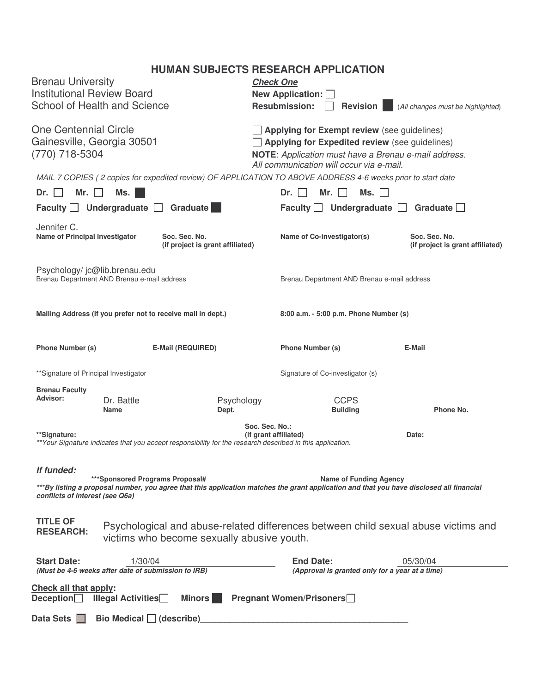# **HUMAN SUBJECTS RESEARCH APPLICATION**

| <b>Brenau University</b><br><b>Institutional Review Board</b><br><b>School of Health and Science</b>                                                                                                                                                          |                           |                                                   | <b>Check One</b><br>New Application: O<br><b>Resubmission:</b><br><b>Revision</b><br>(All changes must be highlighted)                                                                            |                                             |                                |                                                   |  |
|---------------------------------------------------------------------------------------------------------------------------------------------------------------------------------------------------------------------------------------------------------------|---------------------------|---------------------------------------------------|---------------------------------------------------------------------------------------------------------------------------------------------------------------------------------------------------|---------------------------------------------|--------------------------------|---------------------------------------------------|--|
| One Centennial Circle<br>Gainesville, Georgia 30501<br>(770) 718-5304                                                                                                                                                                                         |                           |                                                   | Applying for Exempt review (see guidelines)<br>Applying for Expedited review (see guidelines)<br>NOTE: Application must have a Brenau e-mail address.<br>All communication will occur via e-mail. |                                             |                                |                                                   |  |
| MAIL 7 COPIES (2 copies for expedited review) OF APPLICATION TO ABOVE ADDRESS 4-6 weeks prior to start date<br>Mr.<br>Ms.<br>Mr.<br>Ms.<br>Dr.<br>Dr.                                                                                                         |                           |                                                   |                                                                                                                                                                                                   |                                             |                                |                                                   |  |
| Faculty $\Box$<br>Graduate                                                                                                                                                                                                                                    |                           |                                                   |                                                                                                                                                                                                   | Faculty Undergraduate<br>Graduate           |                                |                                                   |  |
| Undergraduate<br>$\mathbf{1}$                                                                                                                                                                                                                                 |                           |                                                   |                                                                                                                                                                                                   |                                             |                                |                                                   |  |
| Jennifer C.<br><b>Name of Principal Investigator</b>                                                                                                                                                                                                          |                           | Soc. Sec. No.<br>(if project is grant affiliated) |                                                                                                                                                                                                   | Name of Co-investigator(s)                  |                                | Soc. Sec. No.<br>(if project is grant affiliated) |  |
| Psychology/jc@lib.brenau.edu<br>Brenau Department AND Brenau e-mail address                                                                                                                                                                                   |                           |                                                   |                                                                                                                                                                                                   | Brenau Department AND Brenau e-mail address |                                |                                                   |  |
| Mailing Address (if you prefer not to receive mail in dept.)                                                                                                                                                                                                  |                           |                                                   |                                                                                                                                                                                                   | 8:00 a.m. - 5:00 p.m. Phone Number (s)      |                                |                                                   |  |
| Phone Number (s)                                                                                                                                                                                                                                              |                           | <b>E-Mail (REQUIRED)</b>                          |                                                                                                                                                                                                   | <b>Phone Number (s)</b>                     |                                | E-Mail                                            |  |
| ** Signature of Principal Investigator                                                                                                                                                                                                                        |                           |                                                   |                                                                                                                                                                                                   | Signature of Co-investigator (s)            |                                |                                                   |  |
| <b>Brenau Faculty</b>                                                                                                                                                                                                                                         |                           |                                                   |                                                                                                                                                                                                   |                                             |                                |                                                   |  |
| <b>Advisor:</b>                                                                                                                                                                                                                                               | Dr. Battle<br><b>Name</b> | Psychology<br>Dept.                               |                                                                                                                                                                                                   |                                             | <b>CCPS</b><br><b>Building</b> | Phone No.                                         |  |
| Soc. Sec. No.:<br>**Signature:<br>** Your Signature indicates that you accept responsibility for the research described in this application.                                                                                                                  |                           |                                                   |                                                                                                                                                                                                   | (if grant affiliated)                       |                                | Date:                                             |  |
| If funded:<br>***Sponsored Programs Proposal#<br><b>Name of Funding Agency</b><br>***By listing a proposal number, you agree that this application matches the grant application and that you have disclosed all financial<br>conflicts of interest (see Q6a) |                           |                                                   |                                                                                                                                                                                                   |                                             |                                |                                                   |  |
| <b>TITLE OF</b><br>Psychological and abuse-related differences between child sexual abuse victims and<br><b>RESEARCH:</b><br>victims who become sexually abusive youth.                                                                                       |                           |                                                   |                                                                                                                                                                                                   |                                             |                                |                                                   |  |
| <b>Start Date:</b>                                                                                                                                                                                                                                            | 1/30/04                   |                                                   |                                                                                                                                                                                                   | <b>End Date:</b>                            |                                | 05/30/04                                          |  |
| (Must be 4-6 weeks after date of submission to IRB)<br>(Approval is granted only for a year at a time)                                                                                                                                                        |                           |                                                   |                                                                                                                                                                                                   |                                             |                                |                                                   |  |
| Check all that apply:<br>Deception $\Box$<br><b>Illegal Activities</b><br><b>Minors</b><br><b>Pregnant Women/Prisoners</b>                                                                                                                                    |                           |                                                   |                                                                                                                                                                                                   |                                             |                                |                                                   |  |
| Data Sets $\Box$<br>Bio Medical $\Box$ (describe)                                                                                                                                                                                                             |                           |                                                   |                                                                                                                                                                                                   |                                             |                                |                                                   |  |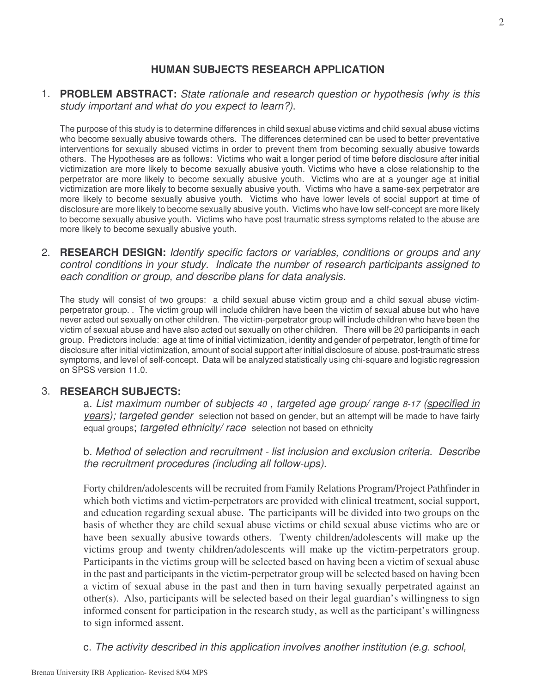# **HUMAN SUBJECTS RESEARCH APPLICATION**

1. **PROBLEM ABSTRACT:** *State rationale and research question or hypothesis (why is this study important and what do you expect to learn?)*.

The purpose of this study is to determine differences in child sexual abuse victims and child sexual abuse victims who become sexually abusive towards others. The differences determined can be used to better preventative interventions for sexually abused victims in order to prevent them from becoming sexually abusive towards others. The Hypotheses are as follows: Victims who wait a longer period of time before disclosure after initial victimization are more likely to become sexually abusive youth. Victims who have a close relationship to the perpetrator are more likely to become sexually abusive youth. Victims who are at a younger age at initial victimization are more likely to become sexually abusive youth. Victims who have a same-sex perpetrator are more likely to become sexually abusive youth. Victims who have lower levels of social support at time of disclosure are more likely to become sexually abusive youth. Victims who have low self-concept are more likely to become sexually abusive youth. Victims who have post traumatic stress symptoms related to the abuse are more likely to become sexually abusive youth.

2. **RESEARCH DESIGN:** *Identify specific factors or variables, conditions or groups and any control conditions in your study. Indicate the number of research participants assigned to each condition or group, and describe plans for data analysis*.

The study will consist of two groups: a child sexual abuse victim group and a child sexual abuse victimperpetrator group. . The victim group will include children have been the victim of sexual abuse but who have never acted out sexually on other children. The victim-perpetrator group will include children who have been the victim of sexual abuse and have also acted out sexually on other children. There will be 20 participants in each group. Predictors include: age at time of initial victimization, identity and gender of perpetrator, length of time for disclosure after initial victimization, amount of social support after initial disclosure of abuse, post-traumatic stress symptoms, and level of self-concept. Data will be analyzed statistically using chi-square and logistic regression on SPSS version 11.0.

#### 3. **RESEARCH SUBJECTS:**

a. *List maximum number of subjects 40 , targeted age group/ range 8-17 (specified in years); targeted gender* selection not based on gender, but an attempt will be made to have fairly equal groups; *targeted ethnicity/ race* selection not based on ethnicity

b. *Method of selection and recruitment - list inclusion and exclusion criteria. Describe the recruitment procedures (including all follow-ups).*

Forty children/adolescents will be recruited from Family Relations Program/Project Pathfinder in which both victims and victim-perpetrators are provided with clinical treatment, social support, and education regarding sexual abuse. The participants will be divided into two groups on the basis of whether they are child sexual abuse victims or child sexual abuse victims who are or have been sexually abusive towards others. Twenty children/adolescents will make up the victims group and twenty children/adolescents will make up the victim-perpetrators group. Participants in the victims group will be selected based on having been a victim of sexual abuse in the past and participants in the victim-perpetrator group will be selected based on having been a victim of sexual abuse in the past and then in turn having sexually perpetrated against an other(s). Also, participants will be selected based on their legal guardian's willingness to sign informed consent for participation in the research study, as well as the participant's willingness to sign informed assent.

c. *The activity described in this application involves another institution (e.g. school,*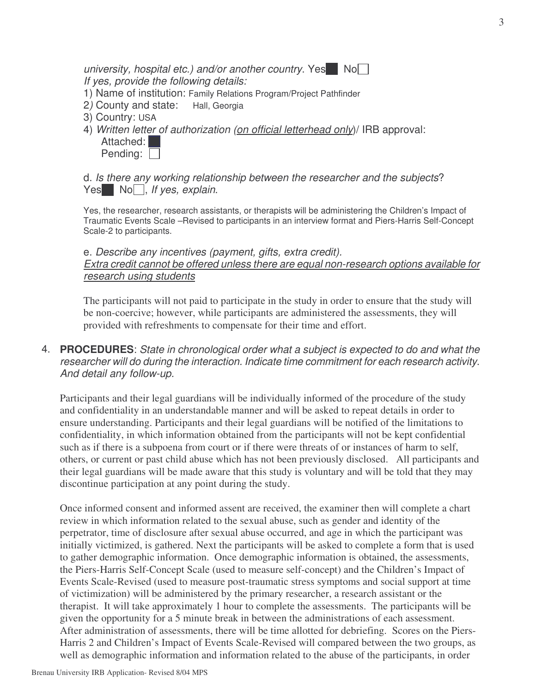*university, hospital etc.) and/or another country.* Yes No *If yes, provide the following details:*

- 1) Name of institution: Family Relations Program/Project Pathfinder
- 2*)* County and state: Hall, Georgia
- 3) Country: USA
- 4) *Written letter of authorization (on official letterhead only*)/ IRB approval: Attached: Pending:

d. *Is there any working relationship between the researcher and the subjects*? Yes No , *If yes*, *explain*.

Yes, the researcher, research assistants, or therapists will be administering the Children's Impact of Traumatic Events Scale –Revised to participants in an interview format and Piers-Harris Self-Concept Scale-2 to participants.

# e. *Describe any incentives (payment, gifts, extra credit). Extra credit cannot be offered unless there are equal non-research options available for research using students*

The participants will not paid to participate in the study in order to ensure that the study will be non-coercive; however, while participants are administered the assessments, they will provided with refreshments to compensate for their time and effort.

4. **PROCEDURES**: *State in chronological order what a subject is expected to do and what the researcher will do during the interaction. Indicate time commitment for each research activity*. *And detail any follow-up.*

Participants and their legal guardians will be individually informed of the procedure of the study and confidentiality in an understandable manner and will be asked to repeat details in order to ensure understanding. Participants and their legal guardians will be notified of the limitations to confidentiality, in which information obtained from the participants will not be kept confidential such as if there is a subpoena from court or if there were threats of or instances of harm to self, others, or current or past child abuse which has not been previously disclosed. All participants and their legal guardians will be made aware that this study is voluntary and will be told that they may discontinue participation at any point during the study.

Once informed consent and informed assent are received, the examiner then will complete a chart review in which information related to the sexual abuse, such as gender and identity of the perpetrator, time of disclosure after sexual abuse occurred, and age in which the participant was initially victimized, is gathered. Next the participants will be asked to complete a form that is used to gather demographic information. Once demographic information is obtained, the assessments, the Piers-Harris Self-Concept Scale (used to measure self-concept) and the Children's Impact of Events Scale-Revised (used to measure post-traumatic stress symptoms and social support at time of victimization) will be administered by the primary researcher, a research assistant or the therapist. It will take approximately 1 hour to complete the assessments. The participants will be given the opportunity for a 5 minute break in between the administrations of each assessment. After administration of assessments, there will be time allotted for debriefing. Scores on the Piers-Harris 2 and Children's Impact of Events Scale-Revised will compared between the two groups, as well as demographic information and information related to the abuse of the participants, in order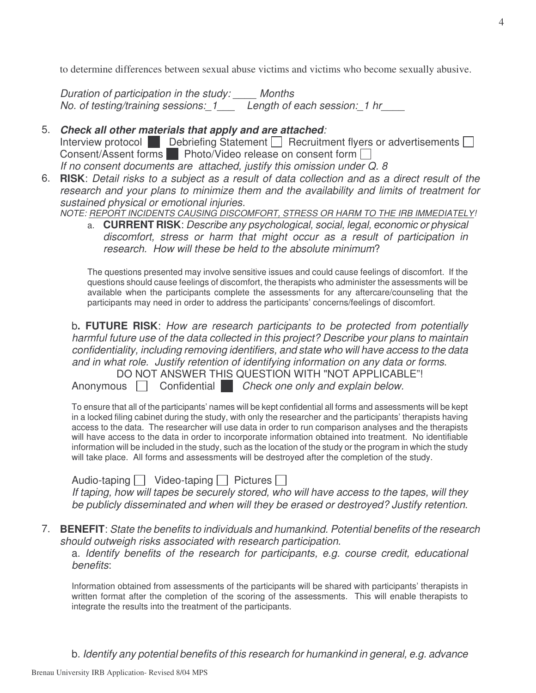to determine differences between sexual abuse victims and victims who become sexually abusive.

*Duration of participation in the study: \_\_\_\_ Months No. of testing/training sessions:\_1\_\_\_ Length of each session:\_1 hr\_\_\_\_*

# 5. *Check all other materials that apply and are attached:*

Interview protocol Debriefing Statement  $\Box$  Recruitment flyers or advertisements  $\Box$ Consent/Assent forms Photo/Video release on consent form  $\Box$ *If no consent documents are attached, justify this omission under Q. 8*

6. RISK: Detail risks to a subject as a result of data collection and as a direct result of the *research and your plans to minimize them and the availability and limits of treatment for sustained physical or emotional injuries.*

*NOTE: REPORT INCIDENTS CAUSING DISCOMFORT, STRESS OR HARM TO THE IRB IMMEDIATELY!*

a. **CURRENT RISK**: *Describe any psychological, social, legal, economic or physical discomfort, stress or harm that might occur as a result of participation in research. How will these be held to the absolute minimum*?

The questions presented may involve sensitive issues and could cause feelings of discomfort. If the questions should cause feelings of discomfort, the therapists who administer the assessments will be available when the participants complete the assessments for any aftercare/counseling that the participants may need in order to address the participants' concerns/feelings of discomfort.

b**. FUTURE RISK**: *How are research participants to be protected from potentially harmful future use of the data collected in this project? Describe your plans to maintain confidentiality, including removing identifiers, and state who will have access to the data and in what role. Justify retention of identifying information on any data or forms*.

DO NOT ANSWER THIS QUESTION WITH "NOT APPLICABLE"! Anonymous Confidential *Check one only and explain below.*

To ensure that all of the participants' names will be kept confidential all forms and assessments will be kept in a locked filing cabinet during the study, with only the researcher and the participants' therapists having access to the data. The researcher will use data in order to run comparison analyses and the therapists will have access to the data in order to incorporate information obtained into treatment. No identifiable information will be included in the study, such as the location of the study or the program in which the study will take place. All forms and assessments will be destroyed after the completion of the study.

Audio-taping  $\Box$  Video-taping  $\Box$  Pictures  $\Box$ 

*If taping, how will tapes be securely stored, who will have access to the tapes, will they be publicly disseminated and when will they be erased or destroyed? Justify retention*.

7. **BENEFIT**: *State the benefits to individuals and humankind. Potential benefits of the research should outweigh risks associated with research participation*.

a. *Identify benefits of the research for participants, e.g. course credit, educational benefits*:

Information obtained from assessments of the participants will be shared with participants' therapists in written format after the completion of the scoring of the assessments. This will enable therapists to integrate the results into the treatment of the participants.

b. *Identify any potential benefits of this research for humankind in general, e.g. advance*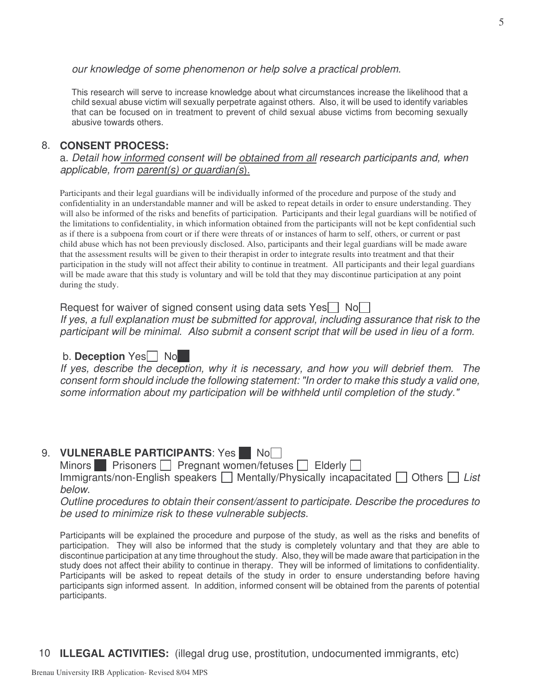*our knowledge of some phenomenon or help solve a practical problem*.

This research will serve to increase knowledge about what circumstances increase the likelihood that a child sexual abuse victim will sexually perpetrate against others. Also, it will be used to identify variables that can be focused on in treatment to prevent of child sexual abuse victims from becoming sexually abusive towards others.

#### 8. **CONSENT PROCESS:**

a. *Detail how informed consent will be obtained from all research participants and, when applicable, from parent(s) or guardian(s*).

Participants and their legal guardians will be individually informed of the procedure and purpose of the study and confidentiality in an understandable manner and will be asked to repeat details in order to ensure understanding. They will also be informed of the risks and benefits of participation. Participants and their legal guardians will be notified of the limitations to confidentiality, in which information obtained from the participants will not be kept confidential such as if there is a subpoena from court or if there were threats of or instances of harm to self, others, or current or past child abuse which has not been previously disclosed. Also, participants and their legal guardians will be made aware that the assessment results will be given to their therapist in order to integrate results into treatment and that their participation in the study will not affect their ability to continue in treatment. All participants and their legal guardians will be made aware that this study is voluntary and will be told that they may discontinue participation at any point during the study.

Request for waiver of signed consent using data sets  $Yes \cap No$ 

*If yes, a full explanation must be submitted for approval, including assurance that risk to the participant will be minimal*. *Also submit a consent script that will be used in lieu of a form.*

### b. Deception Yes<sup>
No</sup>

*If yes, describe the deception, why it is necessary, and how you will debrief them. The consent form should include the following statement: "In order to make this study a valid one, some information about my participation will be withheld until completion of the study."*

### 9. **VULNERABLE PARTICIPANTS:** Yes No

Minors Prisoners  $\Box$  Pregnant women/fetuses  $\Box$  Elderly  $\Box$ 

Immigrants/non-English speakers **■** Mentally/Physically incapacitated ■ Others ■ List *below*.

*Outline procedures to obtain their consent/assent to participate. Describe the procedures to be used to minimize risk to these vulnerable subjects.*

Participants will be explained the procedure and purpose of the study, as well as the risks and benefits of participation. They will also be informed that the study is completely voluntary and that they are able to discontinue participation at any time throughout the study. Also, they will be made aware that participation in the study does not affect their ability to continue in therapy. They will be informed of limitations to confidentiality. Participants will be asked to repeat details of the study in order to ensure understanding before having participants sign informed assent. In addition, informed consent will be obtained from the parents of potential participants.

10 **ILLEGAL ACTIVITIES:** (illegal drug use, prostitution, undocumented immigrants, etc)